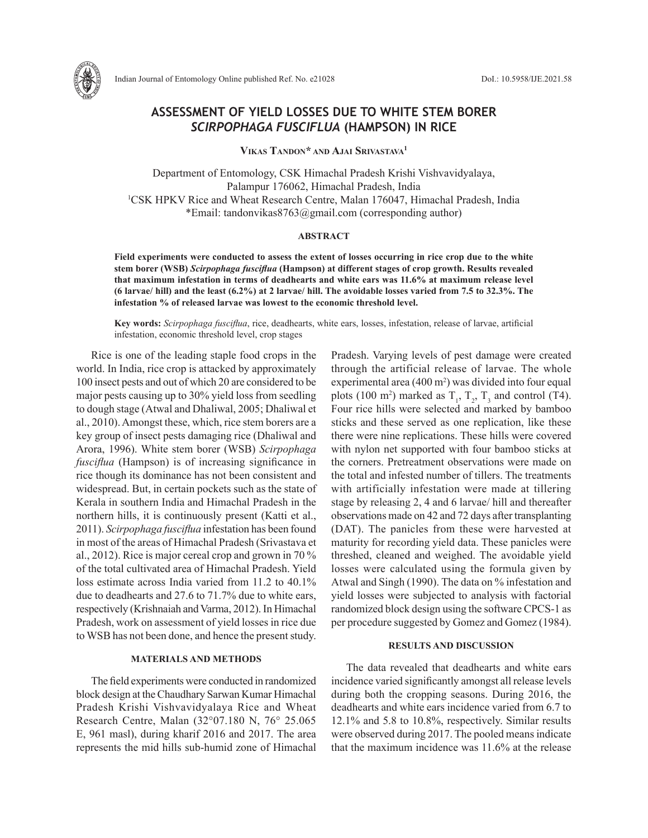

# **ASSESSMENT OF YIELD LOSSES DUE TO WHITE STEM BORER**  *SCIRPOPHAGA FUSCIFLUA* **(HAMPSON) IN RICE**

**Vikas Tandon\* and Ajai Srivastava1**

Department of Entomology, CSK Himachal Pradesh Krishi Vishvavidyalaya, Palampur 176062, Himachal Pradesh, India 1 CSK HPKV Rice and Wheat Research Centre, Malan 176047, Himachal Pradesh, India \*Email: tandonvikas8763@gmail.com (corresponding author)

### **ABSTRACT**

**Field experiments were conducted to assess the extent of losses occurring in rice crop due to the white stem borer (WSB)** *Scirpophaga fusciflua* **(Hampson) at different stages of crop growth. Results revealed that maximum infestation in terms of deadhearts and white ears was 11.6% at maximum release level (6 larvae/ hill) and the least (6.2%) at 2 larvae/ hill. The avoidable losses varied from 7.5 to 32.3%. The infestation % of released larvae was lowest to the economic threshold level.** 

**Key words:** *Scirpophaga fusciflua*, rice, deadhearts, white ears, losses, infestation, release of larvae, artificial infestation, economic threshold level, crop stages

Rice is one of the leading staple food crops in the world. In India, rice crop is attacked by approximately 100 insect pests and out of which 20 are considered to be major pests causing up to 30% yield loss from seedling to dough stage (Atwal and Dhaliwal, 2005; Dhaliwal et al., 2010). Amongst these, which, rice stem borers are a key group of insect pests damaging rice (Dhaliwal and Arora, 1996). White stem borer (WSB) *Scirpophaga fusciflua* (Hampson) is of increasing significance in rice though its dominance has not been consistent and widespread. But, in certain pockets such as the state of Kerala in southern India and Himachal Pradesh in the northern hills, it is continuously present (Katti et al., 2011). *Scirpophaga fusciflua* infestation has been found in most of the areas of Himachal Pradesh (Srivastava et al., 2012). Rice is major cereal crop and grown in 70 % of the total cultivated area of Himachal Pradesh. Yield loss estimate across India varied from 11.2 to 40.1% due to deadhearts and 27.6 to 71.7% due to white ears, respectively (Krishnaiah and Varma, 2012). In Himachal Pradesh, work on assessment of yield losses in rice due to WSB has not been done, and hence the present study.

## **MATERIALS AND METHODS**

The field experiments were conducted in randomized block design at the Chaudhary Sarwan Kumar Himachal Pradesh Krishi Vishvavidyalaya Rice and Wheat Research Centre, Malan (32°07.180 N, 76° 25.065 E, 961 masl), during kharif 2016 and 2017. The area represents the mid hills sub-humid zone of Himachal Pradesh. Varying levels of pest damage were created through the artificial release of larvae. The whole experimental area  $(400 \text{ m}^2)$  was divided into four equal plots (100 m<sup>2</sup>) marked as  $T_1$ ,  $T_2$ ,  $T_3$  and control (T4). Four rice hills were selected and marked by bamboo sticks and these served as one replication, like these there were nine replications. These hills were covered with nylon net supported with four bamboo sticks at the corners. Pretreatment observations were made on the total and infested number of tillers. The treatments with artificially infestation were made at tillering stage by releasing 2, 4 and 6 larvae/ hill and thereafter observations made on 42 and 72 days after transplanting (DAT). The panicles from these were harvested at maturity for recording yield data. These panicles were threshed, cleaned and weighed. The avoidable yield losses were calculated using the formula given by Atwal and Singh (1990). The data on % infestation and yield losses were subjected to analysis with factorial randomized block design using the software CPCS-1 as per procedure suggested by Gomez and Gomez (1984).

## **RESULTS AND DISCUSSION**

The data revealed that deadhearts and white ears incidence varied significantly amongst all release levels during both the cropping seasons. During 2016, the deadhearts and white ears incidence varied from 6.7 to 12.1% and 5.8 to 10.8%, respectively. Similar results were observed during 2017. The pooled means indicate that the maximum incidence was 11.6% at the release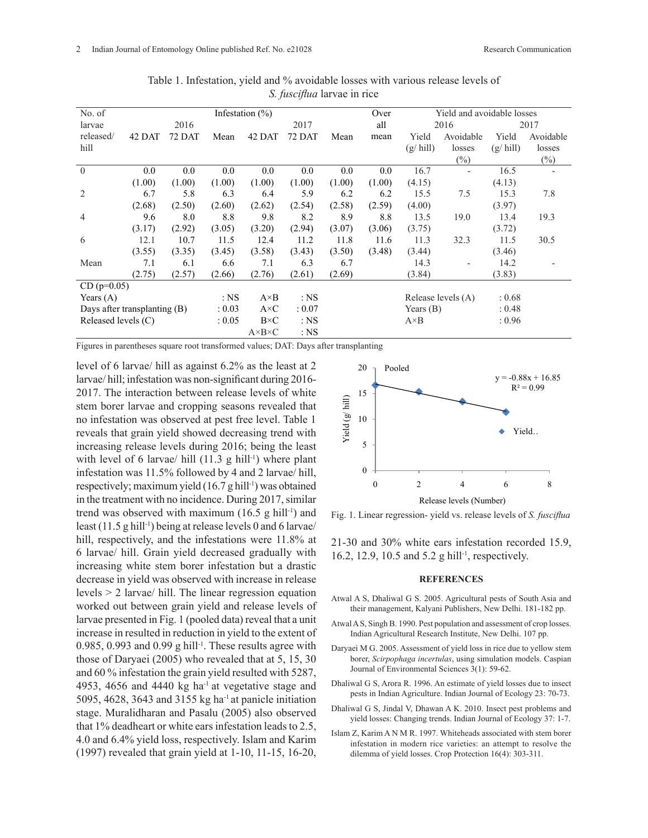| No. of                       | Infestation $(\% )$ |        |              |                       |        |        | Over   | Yield and avoidable losses |           |                   |           |
|------------------------------|---------------------|--------|--------------|-----------------------|--------|--------|--------|----------------------------|-----------|-------------------|-----------|
| larvae                       | 2016                |        | 2017         |                       |        | all    | 2016   |                            | 2017      |                   |           |
| released/                    | 42 DAT              | 72 DAT | Mean         | 42 DAT                | 72 DAT | Mean   | mean   | Yield                      | Avoidable | Yield             | Avoidable |
| hill                         |                     |        |              |                       |        |        |        | $(g/\text{hill})$          | losses    | $(g/\text{hill})$ | losses    |
|                              |                     |        |              |                       |        |        |        |                            | $(\%)$    |                   | $(\%)$    |
| $\overline{0}$               | 0.0                 | 0.0    | 0.0          | 0.0                   | 0.0    | 0.0    | 0.0    | 16.7                       |           | 16.5              |           |
|                              | (1.00)              | (1.00) | (1.00)       | (1.00)                | (1.00) | (1.00) | (1.00) | (4.15)                     |           | (4.13)            |           |
| $\overline{2}$               | 6.7                 | 5.8    | 6.3          | 6.4                   | 5.9    | 6.2    | 6.2    | 15.5                       | 7.5       | 15.3              | 7.8       |
|                              | (2.68)              | (2.50) | (2.60)       | (2.62)                | (2.54) | (2.58) | (2.59) | (4.00)                     |           | (3.97)            |           |
| $\overline{4}$               | 9.6                 | 8.0    | 8.8          | 9.8                   | 8.2    | 8.9    | 8.8    | 13.5                       | 19.0      | 13.4              | 19.3      |
|                              | (3.17)              | (2.92) | (3.05)       | (3.20)                | (2.94) | (3.07) | (3.06) | (3.75)                     |           | (3.72)            |           |
| 6                            | 12.1                | 10.7   | 11.5         | 12.4                  | 11.2   | 11.8   | 11.6   | 11.3                       | 32.3      | 11.5              | 30.5      |
|                              | (3.55)              | (3.35) | (3.45)       | (3.58)                | (3.43) | (3.50) | (3.48) | (3.44)                     |           | (3.46)            |           |
| Mean                         | 7.1                 | 6.1    | 6.6          | 7.1                   | 6.3    | 6.7    |        | 14.3                       |           | 14.2              |           |
|                              | (2.75)              | (2.57) | (2.66)       | (2.76)                | (2.61) | (2.69) |        | (3.84)                     |           | (3.83)            |           |
| $CD (p=0.05)$                |                     |        |              |                       |        |        |        |                            |           |                   |           |
| Years $(A)$                  |                     | $:$ NS | $A \times B$ | $:$ NS                |        |        |        | Release levels (A)         | : 0.68    |                   |           |
| Days after transplanting (B) |                     |        | : 0.03       | $A \times C$          | : 0.07 |        |        | Years $(B)$                |           | : 0.48            |           |
| Released levels (C)          |                     |        | : 0.05       | $B\times C$           | $:$ NS |        |        | $A \times B$               |           | : 0.96            |           |
|                              |                     |        |              | $A \times B \times C$ | $:$ NS |        |        |                            |           |                   |           |

Table 1. Infestation, yield and % avoidable losses with various release levels of *S. fusciflua* larvae in rice

Figures in parentheses square root transformed values; DAT: Days after transplanting

level of 6 larvae/ hill as against 6.2% as the least at 2 larvae/ hill; infestation was non-significant during 2016- 2017. The interaction between release levels of white stem borer larvae and cropping seasons revealed that no infestation was observed at pest free level. Table 1 reveals that grain yield showed decreasing trend with increasing release levels during 2016; being the least with level of 6 larvae/ hill  $(11.3 \text{ g hill}^{-1})$  where plant infestation was 11.5% followed by 4 and 2 larvae/ hill, respectively; maximum yield (16.7 g hill<sup>-1</sup>) was obtained in the treatment with no incidence. During 2017, similar trend was observed with maximum  $(16.5 \text{ g hill-1})$  and least (11.5 g hill-1) being at release levels 0 and 6 larvae/ hill, respectively, and the infestations were 11.8% at 6 larvae/ hill. Grain yield decreased gradually with increasing white stem borer infestation but a drastic decrease in yield was observed with increase in release levels > 2 larvae/ hill. The linear regression equation worked out between grain yield and release levels of larvae presented in Fig. 1 (pooled data) reveal that a unit increase in resulted in reduction in yield to the extent of 0.985, 0.993 and 0.99 g hill-1. These results agree with those of Daryaei (2005) who revealed that at 5, 15, 30 and 60 % infestation the grain yield resulted with 5287, 4953, 4656 and 4440 kg ha-1 at vegetative stage and 5095, 4628, 3643 and 3155 kg ha-1 at panicle initiation stage. Muralidharan and Pasalu (2005) also observed that 1% deadheart or white ears infestation leads to 2.5, 4.0 and 6.4% yield loss, respectively. Islam and Karim (1997) revealed that grain yield at 1-10, 11-15, 16-20, 5 Fig. 1. Linear regression- yield vs. release levels of *S. fusciflua*



Fig. 1. Linear regression- yield vs. release levels of *S. fusciflua*

21-30 and 30% white ears infestation recorded 15.9, 16.2, 12.9, 10.5 and 5.2 g hill<sup>-1</sup>, respectively.

#### **REFERENCES**

- Atwal A S, Dhaliwal G S. 2005. Agricultural pests of South Asia and their management, Kalyani Publishers, New Delhi. 181-182 pp.
- Atwal A S, Singh B. 1990. Pest population and assessment of crop losses. Indian Agricultural Research Institute, New Delhi. 107 pp.
- Daryaei M G. 2005. Assessment of yield loss in rice due to yellow stem borer, *Scirpophaga incertulas*, using simulation models. Caspian Journal of Environmental Sciences 3(1): 59-62.
- Dhaliwal G S, Arora R. 1996. An estimate of yield losses due to insect pests in Indian Agriculture. Indian Journal of Ecology 23: 70-73.
- Dhaliwal G S, Jindal V, Dhawan A K. 2010. Insect pest problems and yield losses: Changing trends. Indian Journal of Ecology 37: 1-7.
- Islam Z, Karim A N M R. 1997. Whiteheads associated with stem borer infestation in modern rice varieties: an attempt to resolve the dilemma of yield losses. Crop Protection 16(4): 303-311.